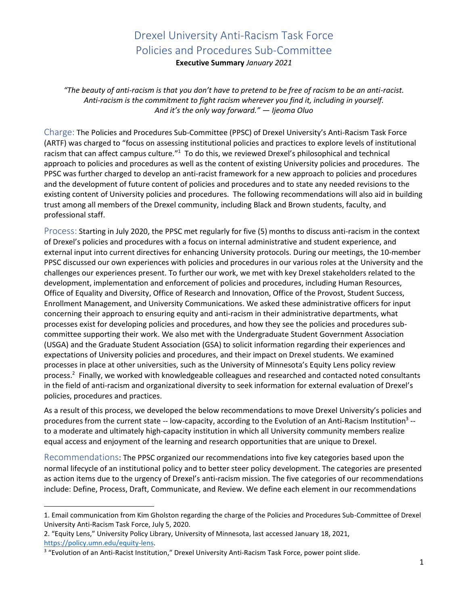**Executive Summary** *January 2021*

*"The beauty of anti-racism is that you don't have to pretend to be free of racism to be an anti-racist. Anti-racism is the commitment to fight racism wherever you find it, including in yourself. And it's the only way forward." — Ijeoma Oluo*

Charge: The Policies and Procedures Sub-Committee (PPSC) of Drexel University's Anti-Racism Task Force (ARTF) was charged to "focus on assessing institutional policies and practices to explore levels of institutional racism that can affect campus culture."<sup>1</sup> To do this, we reviewed Drexel's philosophical and technical approach to policies and procedures as well as the content of existing University policies and procedures. The PPSC was further charged to develop an anti-racist framework for a new approach to policies and procedures and the development of future content of policies and procedures and to state any needed revisions to the existing content of University policies and procedures. The following recommendations will also aid in building trust among all members of the Drexel community, including Black and Brown students, faculty, and professional staff.

Process: Starting in July 2020, the PPSC met regularly for five (5) months to discuss anti-racism in the context of Drexel's policies and procedures with a focus on internal administrative and student experience, and external input into current directives for enhancing University protocols. During our meetings, the 10-member PPSC discussed our own experiences with policies and procedures in our various roles at the University and the challenges our experiences present. To further our work, we met with key Drexel stakeholders related to the development, implementation and enforcement of policies and procedures, including Human Resources, Office of Equality and Diversity, Office of Research and Innovation, Office of the Provost, Student Success, Enrollment Management, and University Communications. We asked these administrative officers for input concerning their approach to ensuring equity and anti-racism in their administrative departments, what processes exist for developing policies and procedures, and how they see the policies and procedures subcommittee supporting their work. We also met with the Undergraduate Student Government Association (USGA) and the Graduate Student Association (GSA) to solicit information regarding their experiences and expectations of University policies and procedures, and their impact on Drexel students. We examined processes in place at other universities, such as the University of Minnesota's Equity Lens policy review process.<sup>2</sup> Finally, we worked with knowledgeable colleagues and researched and contacted noted consultants in the field of anti-racism and organizational diversity to seek information for external evaluation of Drexel's policies, procedures and practices.

As a result of this process, we developed the below recommendations to move Drexel University's policies and procedures from the current state -- low-capacity, according to the Evolution of an Anti-Racism Institution<sup>3</sup> -to a moderate and ultimately high-capacity institution in which all University community members realize equal access and enjoyment of the learning and research opportunities that are unique to Drexel.

Recommendations: The PPSC organized our recommendations into five key categories based upon the normal lifecycle of an institutional policy and to better steer policy development. The categories are presented as action items due to the urgency of Drexel's anti-racism mission. The five categories of our recommendations include: Define, Process, Draft, Communicate, and Review. We define each element in our recommendations

<sup>1.</sup> Email communication from Kim Gholston regarding the charge of the Policies and Procedures Sub-Committee of Drexel University Anti-Racism Task Force, July 5, 2020.

<sup>2</sup>. "Equity Lens," University Policy Library, University of Minnesota, last accessed January 18, 2021, [https://policy.umn.edu/equity-lens.](https://policy.umn.edu/equity-lens)

<sup>&</sup>lt;sup>3</sup> "Evolution of an Anti-Racist Institution," Drexel University Anti-Racism Task Force, power point slide.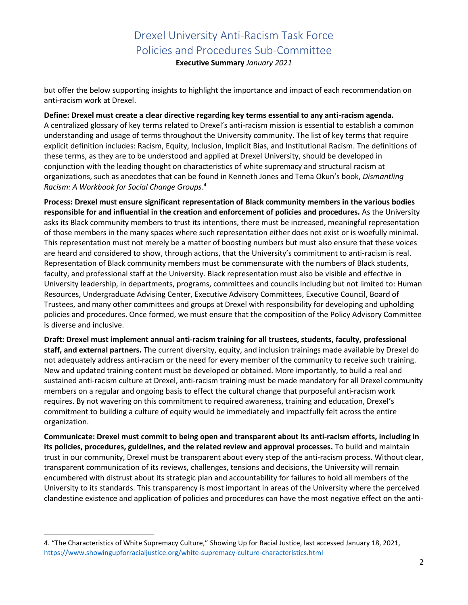**Executive Summary** *January 2021*

but offer the below supporting insights to highlight the importance and impact of each recommendation on anti-racism work at Drexel.

**Define: Drexel must create a clear directive regarding key terms essential to any anti-racism agenda.** A centralized glossary of key terms related to Drexel's anti-racism mission is essential to establish a common understanding and usage of terms throughout the University community. The list of key terms that require explicit definition includes: Racism, Equity, Inclusion, Implicit Bias, and Institutional Racism. The definitions of these terms, as they are to be understood and applied at Drexel University, should be developed in conjunction with the leading thought on characteristics of white supremacy and structural racism at organizations, such as anecdotes that can be found in Kenneth Jones and Tema Okun's book, *Dismantling Racism: A Workbook for Social Change Groups*. 4

**Process: Drexel must ensure significant representation of Black community members in the various bodies responsible for and influential in the creation and enforcement of policies and procedures.** As the University asks its Black community members to trust its intentions, there must be increased, meaningful representation of those members in the many spaces where such representation either does not exist or is woefully minimal. This representation must not merely be a matter of boosting numbers but must also ensure that these voices are heard and considered to show, through actions, that the University's commitment to anti-racism is real. Representation of Black community members must be commensurate with the numbers of Black students, faculty, and professional staff at the University. Black representation must also be visible and effective in University leadership, in departments, programs, committees and councils including but not limited to: Human Resources, Undergraduate Advising Center, Executive Advisory Committees, Executive Council, Board of Trustees, and many other committees and groups at Drexel with responsibility for developing and upholding policies and procedures. Once formed, we must ensure that the composition of the Policy Advisory Committee is diverse and inclusive.

**Draft: Drexel must implement annual anti-racism training for all trustees, students, faculty, professional staff, and external partners.** The current diversity, equity, and inclusion trainings made available by Drexel do not adequately address anti-racism or the need for every member of the community to receive such training. New and updated training content must be developed or obtained. More importantly, to build a real and sustained anti-racism culture at Drexel, anti-racism training must be made mandatory for all Drexel community members on a regular and ongoing basis to effect the cultural change that purposeful anti-racism work requires. By not wavering on this commitment to required awareness, training and education, Drexel's commitment to building a culture of equity would be immediately and impactfully felt across the entire organization.

**Communicate: Drexel must commit to being open and transparent about its anti-racism efforts, including in its policies, procedures, guidelines, and the related review and approval processes.** To build and maintain trust in our community, Drexel must be transparent about every step of the anti-racism process. Without clear, transparent communication of its reviews, challenges, tensions and decisions, the University will remain encumbered with distrust about its strategic plan and accountability for failures to hold all members of the University to its standards. This transparency is most important in areas of the University where the perceived clandestine existence and application of policies and procedures can have the most negative effect on the anti-

<sup>4</sup>. "The Characteristics of White Supremacy Culture," Showing Up for Racial Justice, last accessed January 18, 2021, <https://www.showingupforracialjustice.org/white-supremacy-culture-characteristics.html>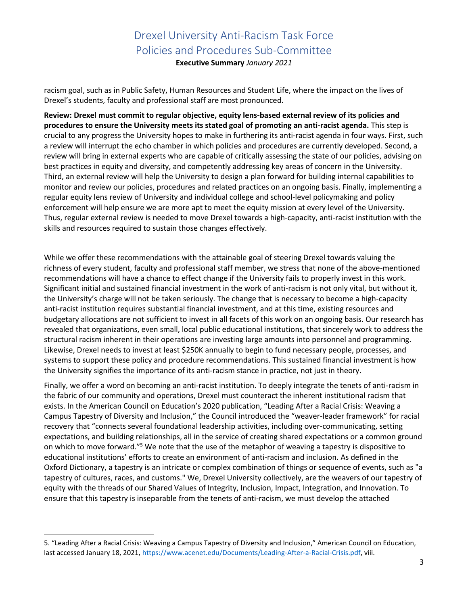**Executive Summary** *January 2021*

racism goal, such as in Public Safety, Human Resources and Student Life, where the impact on the lives of Drexel's students, faculty and professional staff are most pronounced.

**Review: Drexel must commit to regular objective, equity lens-based external review of its policies and procedures to ensure the University meets its stated goal of promoting an anti-racist agenda.** This step is crucial to any progress the University hopes to make in furthering its anti-racist agenda in four ways. First, such a review will interrupt the echo chamber in which policies and procedures are currently developed. Second, a review will bring in external experts who are capable of critically assessing the state of our policies, advising on best practices in equity and diversity, and competently addressing key areas of concern in the University. Third, an external review will help the University to design a plan forward for building internal capabilities to monitor and review our policies, procedures and related practices on an ongoing basis. Finally, implementing a regular equity lens review of University and individual college and school-level policymaking and policy enforcement will help ensure we are more apt to meet the equity mission at every level of the University. Thus, regular external review is needed to move Drexel towards a high-capacity, anti-racist institution with the skills and resources required to sustain those changes effectively.

While we offer these recommendations with the attainable goal of steering Drexel towards valuing the richness of every student, faculty and professional staff member, we stress that none of the above-mentioned recommendations will have a chance to effect change if the University fails to properly invest in this work. Significant initial and sustained financial investment in the work of anti-racism is not only vital, but without it, the University's charge will not be taken seriously. The change that is necessary to become a high-capacity anti-racist institution requires substantial financial investment, and at this time, existing resources and budgetary allocations are not sufficient to invest in all facets of this work on an ongoing basis. Our research has revealed that organizations, even small, local public educational institutions, that sincerely work to address the structural racism inherent in their operations are investing large amounts into personnel and programming. Likewise, Drexel needs to invest at least \$250K annually to begin to fund necessary people, processes, and systems to support these policy and procedure recommendations. This sustained financial investment is how the University signifies the importance of its anti-racism stance in practice, not just in theory.

Finally, we offer a word on becoming an anti-racist institution. To deeply integrate the tenets of anti-racism in the fabric of our community and operations, Drexel must counteract the inherent institutional racism that exists. In the American Council on Education's 2020 publication, "Leading After a Racial Crisis: Weaving a Campus Tapestry of Diversity and Inclusion," the Council introduced the "weaver-leader framework" for racial recovery that "connects several foundational leadership activities, including over-communicating, setting expectations, and building relationships, all in the service of creating shared expectations or a common ground on which to move forward."<sup>5</sup> We note that the use of the metaphor of weaving a tapestry is dispositive to educational institutions' efforts to create an environment of anti-racism and inclusion. As defined in the Oxford Dictionary, a tapestry is an intricate or complex combination of things or sequence of events, such as "a tapestry of cultures, races, and customs." We, Drexel University collectively, are the weavers of our tapestry of equity with the threads of our Shared Values of Integrity, Inclusion, Impact, Integration, and Innovation. To ensure that this tapestry is inseparable from the tenets of anti-racism, we must develop the attached

<sup>5.</sup> "Leading After a Racial Crisis: Weaving a Campus Tapestry of Diversity and Inclusion," American Council on Education, last accessed January 18, 2021, [https://www.acenet.edu/Documents/Leading-After-a-Racial-Crisis.pdf,](https://www.acenet.edu/Documents/Leading-After-a-Racial-Crisis.pdf) viii.